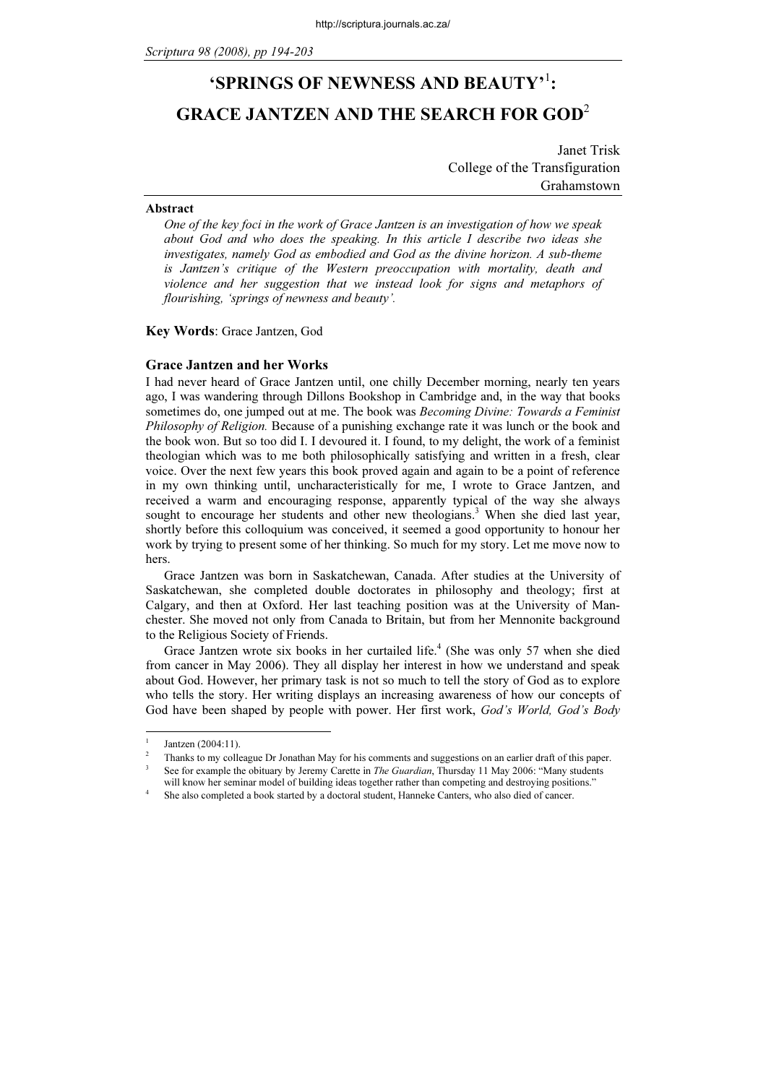# 'SPRINGS OF NEWNESS AND BEAUTY'<sup>1</sup>: GRACE JANTZEN AND THE SEARCH FOR GOD<sup>2</sup>

Janet Trisk College of the Transfiguration Grahamstown

#### Abstract

One of the key foci in the work of Grace Jantzen is an investigation of how we speak about God and who does the speaking. In this article I describe two ideas she investigates, namely God as embodied and God as the divine horizon. A sub-theme is Jantzen's critique of the Western preoccupation with mortality, death and violence and her suggestion that we instead look for signs and metaphors of flourishing, 'springs of newness and beauty'.

Key Words: Grace Jantzen, God

# Grace Jantzen and her Works

I had never heard of Grace Jantzen until, one chilly December morning, nearly ten years ago, I was wandering through Dillons Bookshop in Cambridge and, in the way that books sometimes do, one jumped out at me. The book was *Becoming Divine: Towards a Feminist* Philosophy of Religion. Because of a punishing exchange rate it was lunch or the book and the book won. But so too did I. I devoured it. I found, to my delight, the work of a feminist theologian which was to me both philosophically satisfying and written in a fresh, clear voice. Over the next few years this book proved again and again to be a point of reference in my own thinking until, uncharacteristically for me, I wrote to Grace Jantzen, and received a warm and encouraging response, apparently typical of the way she always sought to encourage her students and other new theologians.<sup>3</sup> When she died last year, shortly before this colloquium was conceived, it seemed a good opportunity to honour her work by trying to present some of her thinking. So much for my story. Let me move now to hers.

Grace Jantzen was born in Saskatchewan, Canada. After studies at the University of Saskatchewan, she completed double doctorates in philosophy and theology; first at Calgary, and then at Oxford. Her last teaching position was at the University of Manchester. She moved not only from Canada to Britain, but from her Mennonite background to the Religious Society of Friends.

Grace Jantzen wrote six books in her curtailed life.<sup>4</sup> (She was only 57 when she died from cancer in May 2006). They all display her interest in how we understand and speak about God. However, her primary task is not so much to tell the story of God as to explore who tells the story. Her writing displays an increasing awareness of how our concepts of God have been shaped by people with power. Her first work, God's World, God's Body

<sup>1</sup> Jantzen (2004:11).

 $\overline{\mathfrak{c}}$  Thanks to my colleague Dr Jonathan May for his comments and suggestions on an earlier draft of this paper. 3 See for example the obituary by Jeremy Carette in *The Guardian*, Thursday 11 May 2006: "Many students

will know her seminar model of building ideas together rather than competing and destroying positions."

She also completed a book started by a doctoral student, Hanneke Canters, who also died of cancer.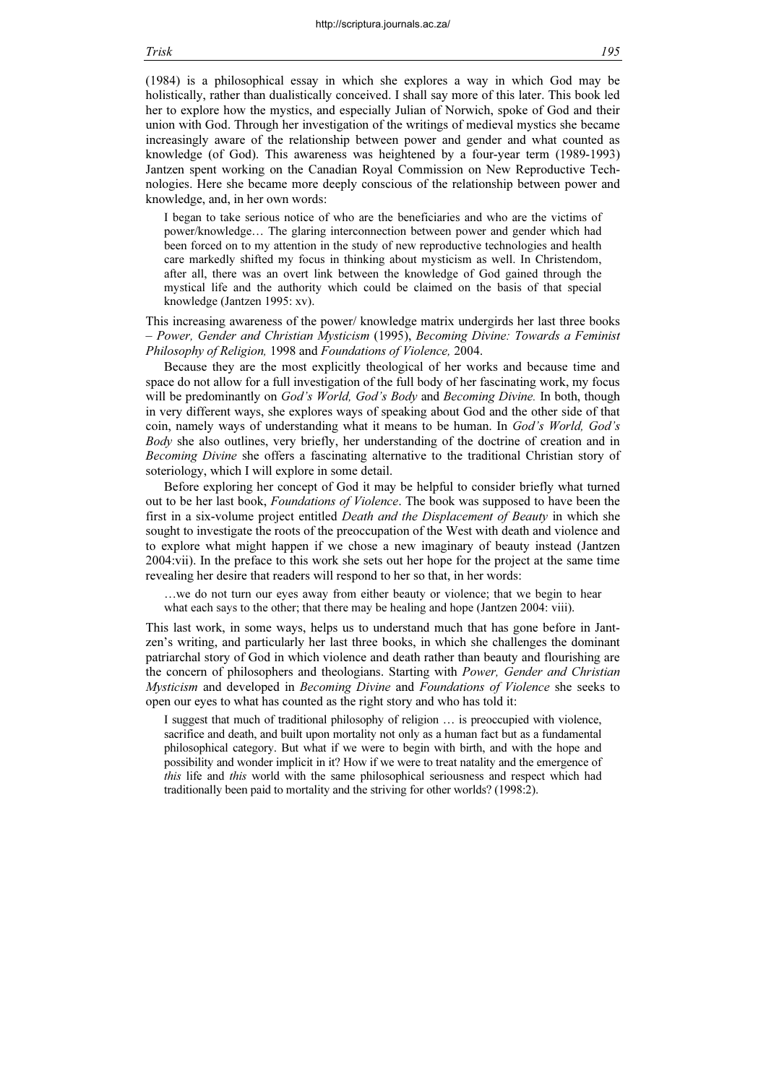(1984) is a philosophical essay in which she explores a way in which God may be holistically, rather than dualistically conceived. I shall say more of this later. This book led her to explore how the mystics, and especially Julian of Norwich, spoke of God and their union with God. Through her investigation of the writings of medieval mystics she became increasingly aware of the relationship between power and gender and what counted as knowledge (of God). This awareness was heightened by a four-year term (1989-1993) Jantzen spent working on the Canadian Royal Commission on New Reproductive Technologies. Here she became more deeply conscious of the relationship between power and knowledge, and, in her own words:

I began to take serious notice of who are the beneficiaries and who are the victims of power/knowledge… The glaring interconnection between power and gender which had been forced on to my attention in the study of new reproductive technologies and health care markedly shifted my focus in thinking about mysticism as well. In Christendom, after all, there was an overt link between the knowledge of God gained through the mystical life and the authority which could be claimed on the basis of that special knowledge (Jantzen 1995: xv).

This increasing awareness of the power/ knowledge matrix undergirds her last three books – Power, Gender and Christian Mysticism (1995), Becoming Divine: Towards a Feminist Philosophy of Religion, 1998 and Foundations of Violence, 2004.

Because they are the most explicitly theological of her works and because time and space do not allow for a full investigation of the full body of her fascinating work, my focus will be predominantly on *God's World, God's Body* and *Becoming Divine*. In both, though in very different ways, she explores ways of speaking about God and the other side of that coin, namely ways of understanding what it means to be human. In God's World, God's Body she also outlines, very briefly, her understanding of the doctrine of creation and in Becoming Divine she offers a fascinating alternative to the traditional Christian story of soteriology, which I will explore in some detail.

Before exploring her concept of God it may be helpful to consider briefly what turned out to be her last book, Foundations of Violence. The book was supposed to have been the first in a six-volume project entitled Death and the Displacement of Beauty in which she sought to investigate the roots of the preoccupation of the West with death and violence and to explore what might happen if we chose a new imaginary of beauty instead (Jantzen 2004:vii). In the preface to this work she sets out her hope for the project at the same time revealing her desire that readers will respond to her so that, in her words:

…we do not turn our eyes away from either beauty or violence; that we begin to hear what each says to the other; that there may be healing and hope (Jantzen 2004: viii).

This last work, in some ways, helps us to understand much that has gone before in Jantzen's writing, and particularly her last three books, in which she challenges the dominant patriarchal story of God in which violence and death rather than beauty and flourishing are the concern of philosophers and theologians. Starting with Power, Gender and Christian Mysticism and developed in Becoming Divine and Foundations of Violence she seeks to open our eyes to what has counted as the right story and who has told it:

I suggest that much of traditional philosophy of religion … is preoccupied with violence, sacrifice and death, and built upon mortality not only as a human fact but as a fundamental philosophical category. But what if we were to begin with birth, and with the hope and possibility and wonder implicit in it? How if we were to treat natality and the emergence of this life and this world with the same philosophical seriousness and respect which had traditionally been paid to mortality and the striving for other worlds? (1998:2).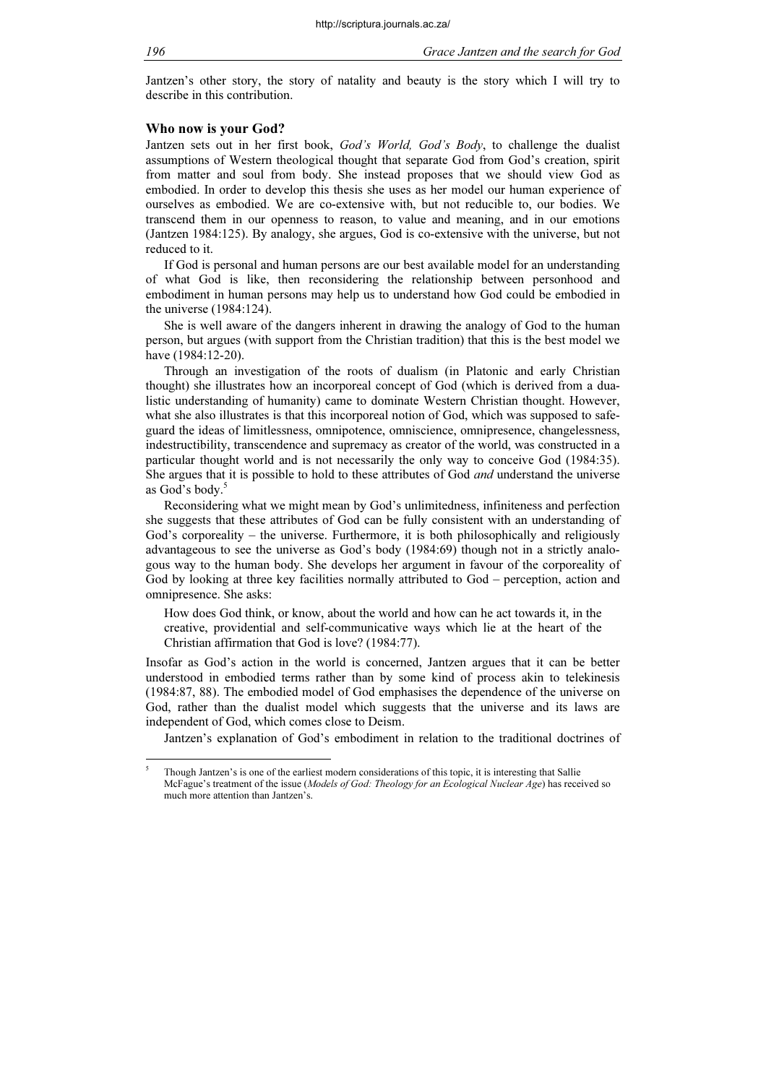Jantzen's other story, the story of natality and beauty is the story which I will try to describe in this contribution.

#### Who now is your God?

Jantzen sets out in her first book, God's World, God's Body, to challenge the dualist assumptions of Western theological thought that separate God from God's creation, spirit from matter and soul from body. She instead proposes that we should view God as embodied. In order to develop this thesis she uses as her model our human experience of ourselves as embodied. We are co-extensive with, but not reducible to, our bodies. We transcend them in our openness to reason, to value and meaning, and in our emotions (Jantzen 1984:125). By analogy, she argues, God is co-extensive with the universe, but not reduced to it.

If God is personal and human persons are our best available model for an understanding of what God is like, then reconsidering the relationship between personhood and embodiment in human persons may help us to understand how God could be embodied in the universe (1984:124).

She is well aware of the dangers inherent in drawing the analogy of God to the human person, but argues (with support from the Christian tradition) that this is the best model we have (1984:12-20).

Through an investigation of the roots of dualism (in Platonic and early Christian thought) she illustrates how an incorporeal concept of God (which is derived from a dualistic understanding of humanity) came to dominate Western Christian thought. However, what she also illustrates is that this incorporeal notion of God, which was supposed to safeguard the ideas of limitlessness, omnipotence, omniscience, omnipresence, changelessness, indestructibility, transcendence and supremacy as creator of the world, was constructed in a particular thought world and is not necessarily the only way to conceive God (1984:35). She argues that it is possible to hold to these attributes of God *and* understand the universe as God's body.<sup>5</sup>

Reconsidering what we might mean by God's unlimitedness, infiniteness and perfection she suggests that these attributes of God can be fully consistent with an understanding of God's corporeality – the universe. Furthermore, it is both philosophically and religiously advantageous to see the universe as God's body (1984:69) though not in a strictly analogous way to the human body. She develops her argument in favour of the corporeality of God by looking at three key facilities normally attributed to God – perception, action and omnipresence. She asks:

How does God think, or know, about the world and how can he act towards it, in the creative, providential and self-communicative ways which lie at the heart of the Christian affirmation that God is love? (1984:77).

Insofar as God's action in the world is concerned, Jantzen argues that it can be better understood in embodied terms rather than by some kind of process akin to telekinesis (1984:87, 88). The embodied model of God emphasises the dependence of the universe on God, rather than the dualist model which suggests that the universe and its laws are independent of God, which comes close to Deism.

Jantzen's explanation of God's embodiment in relation to the traditional doctrines of

<sup>5</sup> Though Jantzen's is one of the earliest modern considerations of this topic, it is interesting that Sallie McFague's treatment of the issue (Models of God: Theology for an Ecological Nuclear Age) has received so much more attention than Jantzen's.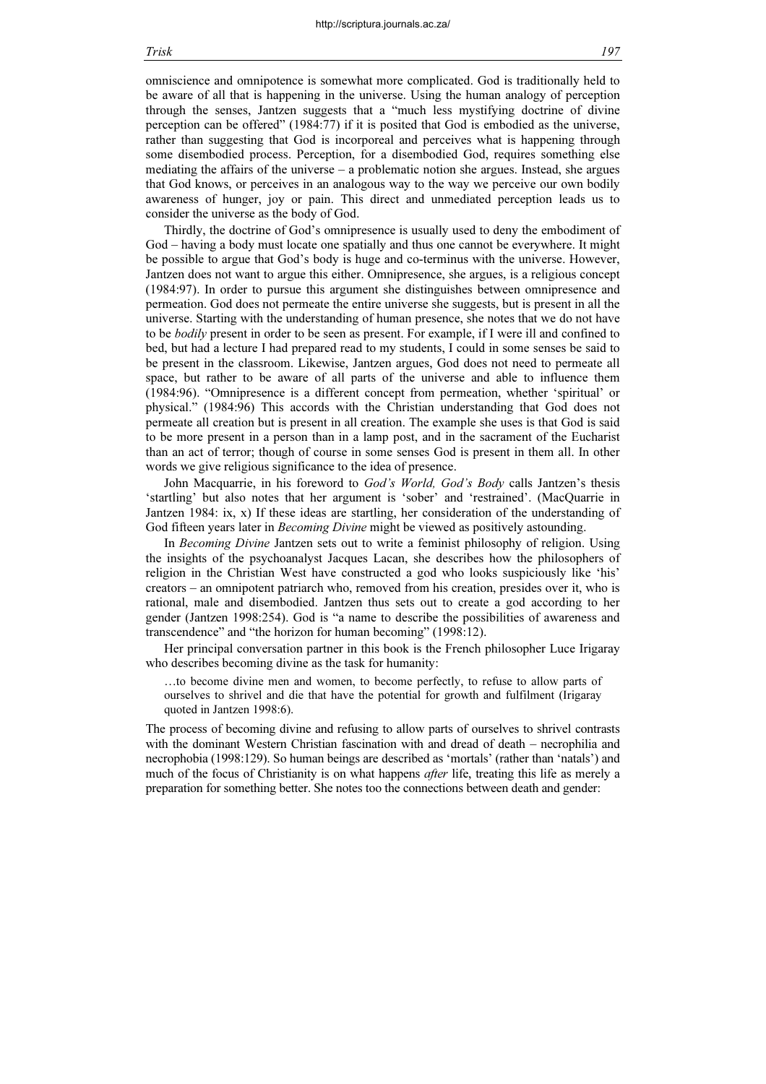omniscience and omnipotence is somewhat more complicated. God is traditionally held to be aware of all that is happening in the universe. Using the human analogy of perception through the senses, Jantzen suggests that a "much less mystifying doctrine of divine perception can be offered" (1984:77) if it is posited that God is embodied as the universe, rather than suggesting that God is incorporeal and perceives what is happening through some disembodied process. Perception, for a disembodied God, requires something else mediating the affairs of the universe – a problematic notion she argues. Instead, she argues that God knows, or perceives in an analogous way to the way we perceive our own bodily awareness of hunger, joy or pain. This direct and unmediated perception leads us to consider the universe as the body of God.

Thirdly, the doctrine of God's omnipresence is usually used to deny the embodiment of God – having a body must locate one spatially and thus one cannot be everywhere. It might be possible to argue that God's body is huge and co-terminus with the universe. However, Jantzen does not want to argue this either. Omnipresence, she argues, is a religious concept (1984:97). In order to pursue this argument she distinguishes between omnipresence and permeation. God does not permeate the entire universe she suggests, but is present in all the universe. Starting with the understanding of human presence, she notes that we do not have to be bodily present in order to be seen as present. For example, if I were ill and confined to bed, but had a lecture I had prepared read to my students, I could in some senses be said to be present in the classroom. Likewise, Jantzen argues, God does not need to permeate all space, but rather to be aware of all parts of the universe and able to influence them (1984:96). "Omnipresence is a different concept from permeation, whether 'spiritual' or physical." (1984:96) This accords with the Christian understanding that God does not permeate all creation but is present in all creation. The example she uses is that God is said to be more present in a person than in a lamp post, and in the sacrament of the Eucharist than an act of terror; though of course in some senses God is present in them all. In other words we give religious significance to the idea of presence.

John Macquarrie, in his foreword to God's World, God's Body calls Jantzen's thesis 'startling' but also notes that her argument is 'sober' and 'restrained'. (MacQuarrie in Jantzen 1984: ix, x) If these ideas are startling, her consideration of the understanding of God fifteen years later in *Becoming Divine* might be viewed as positively astounding.

In Becoming Divine Jantzen sets out to write a feminist philosophy of religion. Using the insights of the psychoanalyst Jacques Lacan, she describes how the philosophers of religion in the Christian West have constructed a god who looks suspiciously like 'his' creators – an omnipotent patriarch who, removed from his creation, presides over it, who is rational, male and disembodied. Jantzen thus sets out to create a god according to her gender (Jantzen 1998:254). God is "a name to describe the possibilities of awareness and transcendence" and "the horizon for human becoming" (1998:12).

Her principal conversation partner in this book is the French philosopher Luce Irigaray who describes becoming divine as the task for humanity:

…to become divine men and women, to become perfectly, to refuse to allow parts of ourselves to shrivel and die that have the potential for growth and fulfilment (Irigaray quoted in Jantzen 1998:6).

The process of becoming divine and refusing to allow parts of ourselves to shrivel contrasts with the dominant Western Christian fascination with and dread of death – necrophilia and necrophobia (1998:129). So human beings are described as 'mortals' (rather than 'natals') and much of the focus of Christianity is on what happens *after* life, treating this life as merely a preparation for something better. She notes too the connections between death and gender: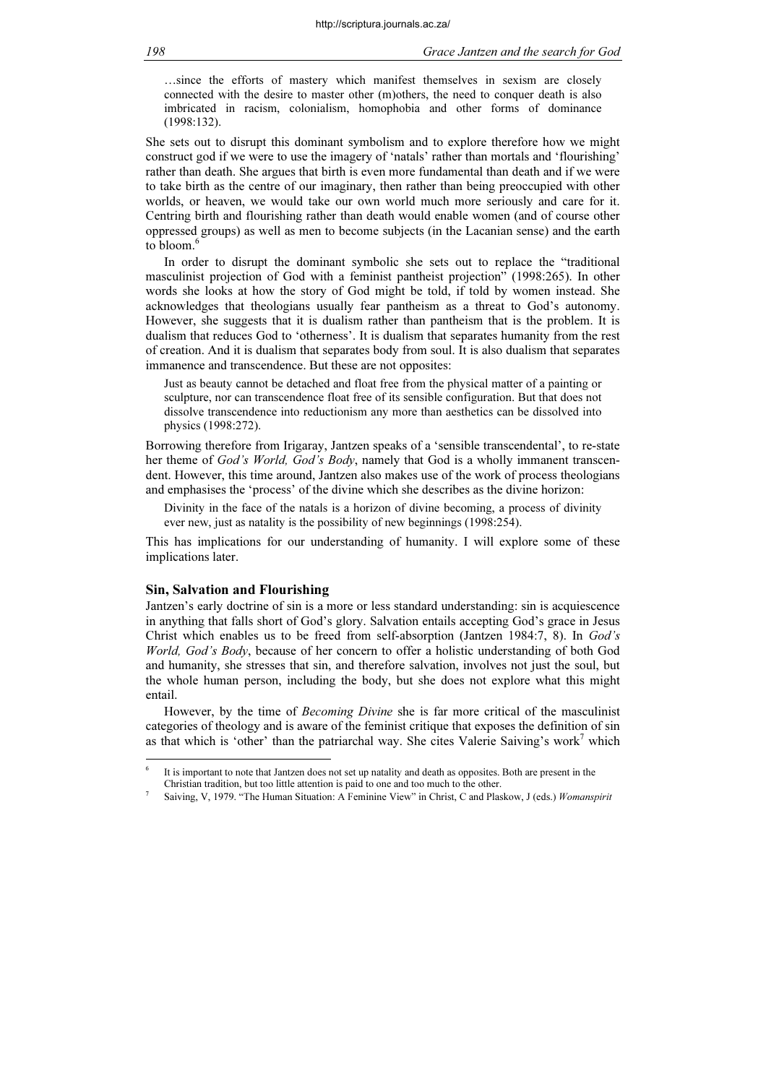…since the efforts of mastery which manifest themselves in sexism are closely connected with the desire to master other (m)others, the need to conquer death is also imbricated in racism, colonialism, homophobia and other forms of dominance (1998:132).

She sets out to disrupt this dominant symbolism and to explore therefore how we might construct god if we were to use the imagery of 'natals' rather than mortals and 'flourishing' rather than death. She argues that birth is even more fundamental than death and if we were to take birth as the centre of our imaginary, then rather than being preoccupied with other worlds, or heaven, we would take our own world much more seriously and care for it. Centring birth and flourishing rather than death would enable women (and of course other oppressed groups) as well as men to become subjects (in the Lacanian sense) and the earth to bloom. $<sup>6</sup>$ </sup>

In order to disrupt the dominant symbolic she sets out to replace the "traditional masculinist projection of God with a feminist pantheist projection" (1998:265). In other words she looks at how the story of God might be told, if told by women instead. She acknowledges that theologians usually fear pantheism as a threat to God's autonomy. However, she suggests that it is dualism rather than pantheism that is the problem. It is dualism that reduces God to 'otherness'. It is dualism that separates humanity from the rest of creation. And it is dualism that separates body from soul. It is also dualism that separates immanence and transcendence. But these are not opposites:

Just as beauty cannot be detached and float free from the physical matter of a painting or sculpture, nor can transcendence float free of its sensible configuration. But that does not dissolve transcendence into reductionism any more than aesthetics can be dissolved into physics (1998:272).

Borrowing therefore from Irigaray, Jantzen speaks of a 'sensible transcendental', to re-state her theme of God's World, God's Body, namely that God is a wholly immanent transcendent. However, this time around, Jantzen also makes use of the work of process theologians and emphasises the 'process' of the divine which she describes as the divine horizon:

Divinity in the face of the natals is a horizon of divine becoming, a process of divinity ever new, just as natality is the possibility of new beginnings (1998:254).

This has implications for our understanding of humanity. I will explore some of these implications later.

#### Sin, Salvation and Flourishing

Jantzen's early doctrine of sin is a more or less standard understanding: sin is acquiescence in anything that falls short of God's glory. Salvation entails accepting God's grace in Jesus Christ which enables us to be freed from self-absorption (Jantzen 1984:7, 8). In God's World, God's Body, because of her concern to offer a holistic understanding of both God and humanity, she stresses that sin, and therefore salvation, involves not just the soul, but the whole human person, including the body, but she does not explore what this might entail.

However, by the time of Becoming Divine she is far more critical of the masculinist categories of theology and is aware of the feminist critique that exposes the definition of sin as that which is 'other' than the patriarchal way. She cites Valerie Saiving's work<sup>7</sup> which

<sup>6</sup> It is important to note that Jantzen does not set up natality and death as opposites. Both are present in the Christian tradition, but too little attention is paid to one and too much to the other.

<sup>7</sup> Saiving, V, 1979. "The Human Situation: A Feminine View" in Christ, C and Plaskow, J (eds.) Womanspirit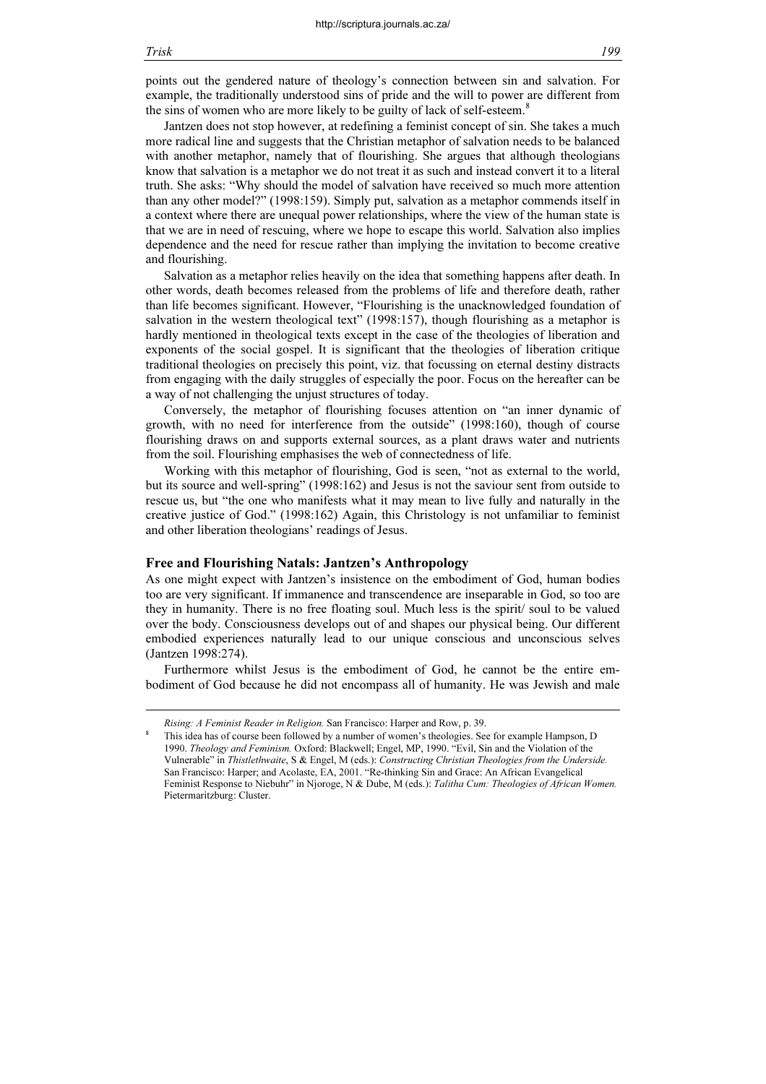8

points out the gendered nature of theology's connection between sin and salvation. For example, the traditionally understood sins of pride and the will to power are different from the sins of women who are more likely to be guilty of lack of self-esteem.<sup>8</sup>

Jantzen does not stop however, at redefining a feminist concept of sin. She takes a much more radical line and suggests that the Christian metaphor of salvation needs to be balanced with another metaphor, namely that of flourishing. She argues that although theologians know that salvation is a metaphor we do not treat it as such and instead convert it to a literal truth. She asks: "Why should the model of salvation have received so much more attention than any other model?" (1998:159). Simply put, salvation as a metaphor commends itself in a context where there are unequal power relationships, where the view of the human state is that we are in need of rescuing, where we hope to escape this world. Salvation also implies dependence and the need for rescue rather than implying the invitation to become creative and flourishing.

Salvation as a metaphor relies heavily on the idea that something happens after death. In other words, death becomes released from the problems of life and therefore death, rather than life becomes significant. However, "Flourishing is the unacknowledged foundation of salvation in the western theological text" (1998:157), though flourishing as a metaphor is hardly mentioned in theological texts except in the case of the theologies of liberation and exponents of the social gospel. It is significant that the theologies of liberation critique traditional theologies on precisely this point, viz. that focussing on eternal destiny distracts from engaging with the daily struggles of especially the poor. Focus on the hereafter can be a way of not challenging the unjust structures of today.

Conversely, the metaphor of flourishing focuses attention on "an inner dynamic of growth, with no need for interference from the outside" (1998:160), though of course flourishing draws on and supports external sources, as a plant draws water and nutrients from the soil. Flourishing emphasises the web of connectedness of life.

Working with this metaphor of flourishing, God is seen, "not as external to the world, but its source and well-spring" (1998:162) and Jesus is not the saviour sent from outside to rescue us, but "the one who manifests what it may mean to live fully and naturally in the creative justice of God." (1998:162) Again, this Christology is not unfamiliar to feminist and other liberation theologians' readings of Jesus.

#### Free and Flourishing Natals: Jantzen's Anthropology

As one might expect with Jantzen's insistence on the embodiment of God, human bodies too are very significant. If immanence and transcendence are inseparable in God, so too are they in humanity. There is no free floating soul. Much less is the spirit/ soul to be valued over the body. Consciousness develops out of and shapes our physical being. Our different embodied experiences naturally lead to our unique conscious and unconscious selves (Jantzen 1998:274).

Furthermore whilst Jesus is the embodiment of God, he cannot be the entire embodiment of God because he did not encompass all of humanity. He was Jewish and male

Rising: A Feminist Reader in Religion. San Francisco: Harper and Row, p. 39.

This idea has of course been followed by a number of women's theologies. See for example Hampson, D 1990. Theology and Feminism. Oxford: Blackwell; Engel, MP, 1990. "Evil, Sin and the Violation of the Vulnerable" in Thistlethwaite, S & Engel, M (eds.): Constructing Christian Theologies from the Underside. San Francisco: Harper; and Acolaste, EA, 2001. "Re-thinking Sin and Grace: An African Evangelical Feminist Response to Niebuhr" in Njoroge, N & Dube, M (eds.): Talitha Cum: Theologies of African Women. Pietermaritzburg: Cluster.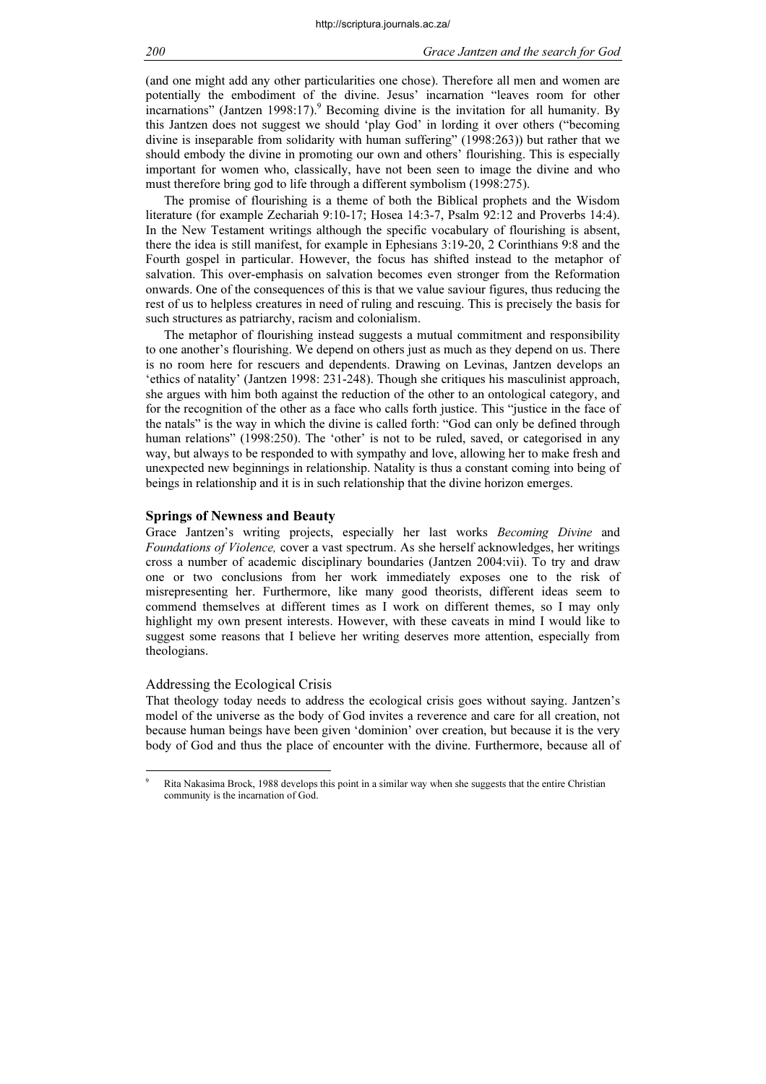(and one might add any other particularities one chose). Therefore all men and women are potentially the embodiment of the divine. Jesus' incarnation "leaves room for other incarnations" (Jantzen 1998:17).<sup>9</sup> Becoming divine is the invitation for all humanity. By this Jantzen does not suggest we should 'play God' in lording it over others ("becoming divine is inseparable from solidarity with human suffering" (1998:263)) but rather that we should embody the divine in promoting our own and others' flourishing. This is especially important for women who, classically, have not been seen to image the divine and who must therefore bring god to life through a different symbolism (1998:275).

The promise of flourishing is a theme of both the Biblical prophets and the Wisdom literature (for example Zechariah 9:10-17; Hosea 14:3-7, Psalm 92:12 and Proverbs 14:4). In the New Testament writings although the specific vocabulary of flourishing is absent, there the idea is still manifest, for example in Ephesians 3:19-20, 2 Corinthians 9:8 and the Fourth gospel in particular. However, the focus has shifted instead to the metaphor of salvation. This over-emphasis on salvation becomes even stronger from the Reformation onwards. One of the consequences of this is that we value saviour figures, thus reducing the rest of us to helpless creatures in need of ruling and rescuing. This is precisely the basis for such structures as patriarchy, racism and colonialism.

The metaphor of flourishing instead suggests a mutual commitment and responsibility to one another's flourishing. We depend on others just as much as they depend on us. There is no room here for rescuers and dependents. Drawing on Levinas, Jantzen develops an 'ethics of natality' (Jantzen 1998: 231-248). Though she critiques his masculinist approach, she argues with him both against the reduction of the other to an ontological category, and for the recognition of the other as a face who calls forth justice. This "justice in the face of the natals" is the way in which the divine is called forth: "God can only be defined through human relations" (1998:250). The 'other' is not to be ruled, saved, or categorised in any way, but always to be responded to with sympathy and love, allowing her to make fresh and unexpected new beginnings in relationship. Natality is thus a constant coming into being of beings in relationship and it is in such relationship that the divine horizon emerges.

# Springs of Newness and Beauty

Grace Jantzen's writing projects, especially her last works Becoming Divine and Foundations of Violence, cover a vast spectrum. As she herself acknowledges, her writings cross a number of academic disciplinary boundaries (Jantzen 2004:vii). To try and draw one or two conclusions from her work immediately exposes one to the risk of misrepresenting her. Furthermore, like many good theorists, different ideas seem to commend themselves at different times as I work on different themes, so I may only highlight my own present interests. However, with these caveats in mind I would like to suggest some reasons that I believe her writing deserves more attention, especially from theologians.

# Addressing the Ecological Crisis

That theology today needs to address the ecological crisis goes without saying. Jantzen's model of the universe as the body of God invites a reverence and care for all creation, not because human beings have been given 'dominion' over creation, but because it is the very body of God and thus the place of encounter with the divine. Furthermore, because all of

<sup>9</sup> Rita Nakasima Brock, 1988 develops this point in a similar way when she suggests that the entire Christian community is the incarnation of God.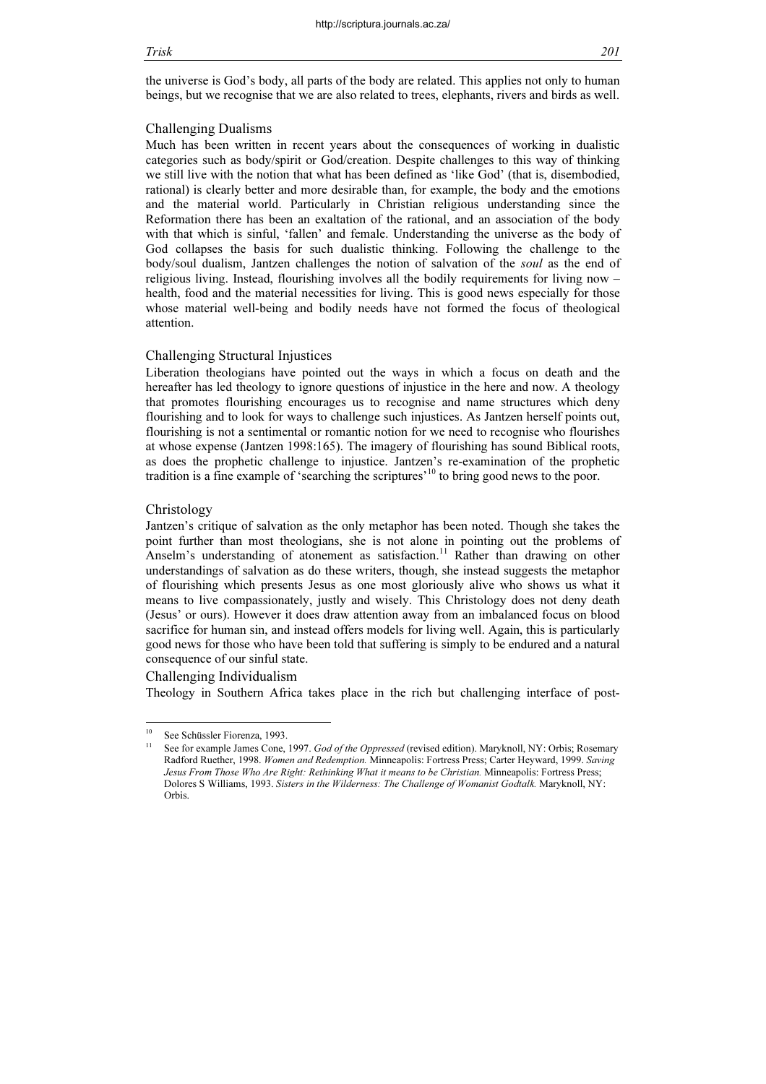the universe is God's body, all parts of the body are related. This applies not only to human beings, but we recognise that we are also related to trees, elephants, rivers and birds as well.

#### Challenging Dualisms

Much has been written in recent years about the consequences of working in dualistic categories such as body/spirit or God/creation. Despite challenges to this way of thinking we still live with the notion that what has been defined as 'like God' (that is, disembodied, rational) is clearly better and more desirable than, for example, the body and the emotions and the material world. Particularly in Christian religious understanding since the Reformation there has been an exaltation of the rational, and an association of the body with that which is sinful, 'fallen' and female. Understanding the universe as the body of God collapses the basis for such dualistic thinking. Following the challenge to the body/soul dualism, Jantzen challenges the notion of salvation of the soul as the end of religious living. Instead, flourishing involves all the bodily requirements for living now – health, food and the material necessities for living. This is good news especially for those whose material well-being and bodily needs have not formed the focus of theological attention.

# Challenging Structural Injustices

Liberation theologians have pointed out the ways in which a focus on death and the hereafter has led theology to ignore questions of injustice in the here and now. A theology that promotes flourishing encourages us to recognise and name structures which deny flourishing and to look for ways to challenge such injustices. As Jantzen herself points out, flourishing is not a sentimental or romantic notion for we need to recognise who flourishes at whose expense (Jantzen 1998:165). The imagery of flourishing has sound Biblical roots, as does the prophetic challenge to injustice. Jantzen's re-examination of the prophetic tradition is a fine example of 'searching the scriptures'<sup>10</sup> to bring good news to the poor.

# Christology

Jantzen's critique of salvation as the only metaphor has been noted. Though she takes the point further than most theologians, she is not alone in pointing out the problems of Anselm's understanding of atonement as satisfaction.<sup>11</sup> Rather than drawing on other understandings of salvation as do these writers, though, she instead suggests the metaphor of flourishing which presents Jesus as one most gloriously alive who shows us what it means to live compassionately, justly and wisely. This Christology does not deny death (Jesus' or ours). However it does draw attention away from an imbalanced focus on blood sacrifice for human sin, and instead offers models for living well. Again, this is particularly good news for those who have been told that suffering is simply to be endured and a natural consequence of our sinful state.

# Challenging Individualism

Theology in Southern Africa takes place in the rich but challenging interface of post-

<sup>10</sup> See Schüssler Fiorenza, 1993.

See for example James Cone, 1997. God of the Oppressed (revised edition). Maryknoll, NY: Orbis; Rosemary Radford Ruether, 1998. Women and Redemption. Minneapolis: Fortress Press; Carter Heyward, 1999. Saving Jesus From Those Who Are Right: Rethinking What it means to be Christian. Minneapolis: Fortress Press; Dolores S Williams, 1993. Sisters in the Wilderness: The Challenge of Womanist Godtalk. Maryknoll, NY: Orbis.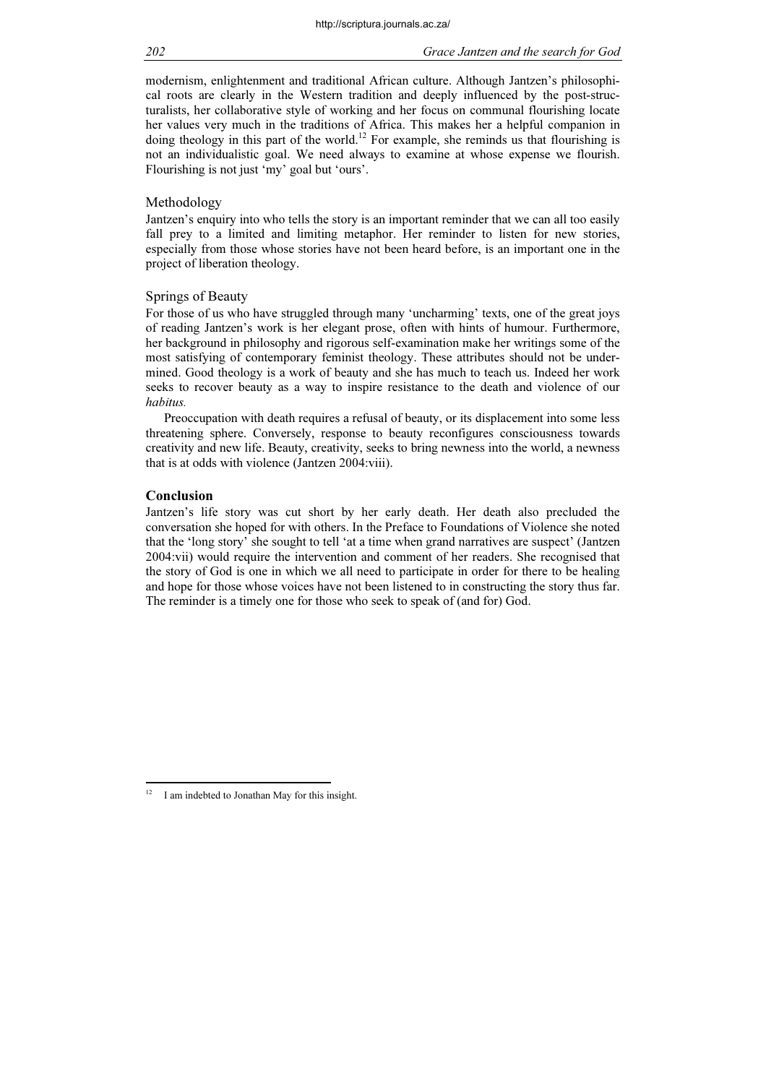modernism, enlightenment and traditional African culture. Although Jantzen's philosophical roots are clearly in the Western tradition and deeply influenced by the post-structuralists, her collaborative style of working and her focus on communal flourishing locate her values very much in the traditions of Africa. This makes her a helpful companion in doing theology in this part of the world.<sup>12</sup> For example, she reminds us that flourishing is not an individualistic goal. We need always to examine at whose expense we flourish. Flourishing is not just 'my' goal but 'ours'.

# Methodology

Jantzen's enquiry into who tells the story is an important reminder that we can all too easily fall prey to a limited and limiting metaphor. Her reminder to listen for new stories, especially from those whose stories have not been heard before, is an important one in the project of liberation theology.

# Springs of Beauty

For those of us who have struggled through many 'uncharming' texts, one of the great joys of reading Jantzen's work is her elegant prose, often with hints of humour. Furthermore, her background in philosophy and rigorous self-examination make her writings some of the most satisfying of contemporary feminist theology. These attributes should not be undermined. Good theology is a work of beauty and she has much to teach us. Indeed her work seeks to recover beauty as a way to inspire resistance to the death and violence of our habitus.

Preoccupation with death requires a refusal of beauty, or its displacement into some less threatening sphere. Conversely, response to beauty reconfigures consciousness towards creativity and new life. Beauty, creativity, seeks to bring newness into the world, a newness that is at odds with violence (Jantzen 2004:viii).

# Conclusion

Jantzen's life story was cut short by her early death. Her death also precluded the conversation she hoped for with others. In the Preface to Foundations of Violence she noted that the 'long story' she sought to tell 'at a time when grand narratives are suspect' (Jantzen 2004:vii) would require the intervention and comment of her readers. She recognised that the story of God is one in which we all need to participate in order for there to be healing and hope for those whose voices have not been listened to in constructing the story thus far. The reminder is a timely one for those who seek to speak of (and for) God.

 $12$ I am indebted to Jonathan May for this insight.